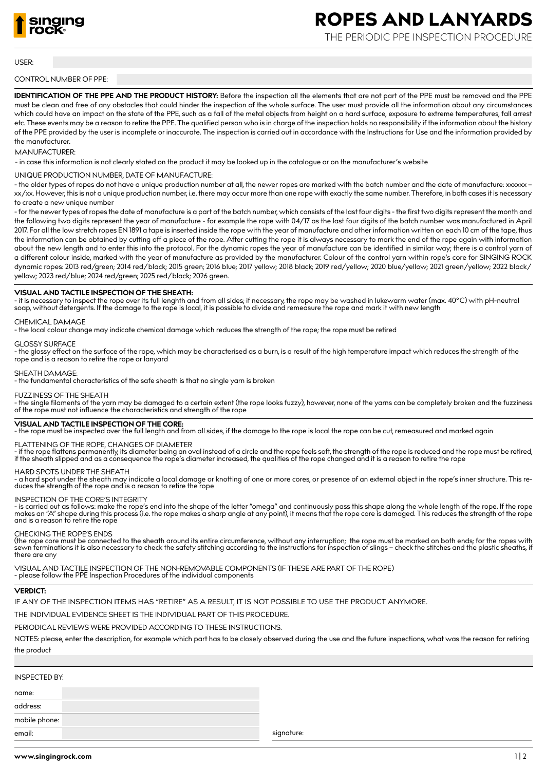

# **ROPES AND LANYARDS**

THE PERIODIC PPE INSPECTION PROCEDURE

## USER:

# CONTROL NUMBER OF PPE:

**IDENTIFICATION OF THE PPE AND THE PRODUCT HISTORY:** Before the inspection all the elements that are not part of the PPE must be removed and the PPE must be clean and free of any obstacles that could hinder the inspection of the whole surface. The user must provide all the information about any circumstances which could have an impact on the state of the PPE, such as a fall of the metal objects from height on a hard surface, exposure to extreme temperatures, fall arrest etc. These events may be a reason to retire the PPE. The qualified person who is in charge of the inspection holds no responsibility if the information about the history of the PPE provided by the user is incomplete or inaccurate. The inspection is carried out in accordance with the Instructions for Use and the information provided by the manufacturer.

# MANUFACTURER:

- in case this information is not clearly stated on the product it may be looked up in the catalogue or on the manufacturer's website

UNIQUE PRODUCTION NUMBER, DATE OF MANUFACTURE:

- the older types of ropes do not have a unique production number at all, the newer ropes are marked with the batch number and the date of manufacture: xxxxxx – xx/xx. However, this is not a unique production number, i.e. there may occur more than one rope with exactly the same number. Therefore, in both cases it is necessary to create a new unique number

- for the newer types of ropes the date of manufacture is a part of the batch number, which consists of the last four digits - the first two digits represent the month and the following two digits represent the year of manufacture - for example the rope with 04/17 as the last four digits of the batch number was manufactured in April 2017. For all the low stretch ropes EN 1891 a tape is inserted inside the rope with the year of manufacture and other information written on each 10 cm of the tape, thus the information can be obtained by cutting off a piece of the rope. After cutting the rope it is always necessary to mark the end of the rope again with information about the new length and to enter this into the protocol. For the dynamic ropes the year of manufacture can be identified in similar way; there is a control yarn of a different colour inside, marked with the year of manufacture as provided by the manufacturer. Colour of the control yarn within rope's core for SINGING ROCK dynamic ropes: 2013 red/green; 2014 red/black; 2015 green; 2016 blue; 2017 yellow; 2018 black; 2019 red/yellow; 2020 blue/yellow; 2021 green/yellow; 2022 black/ yellow; 2023 red/blue; 2024 red/green; 2025 red/black; 2026 green.

# **VISUAL AND TACTILE INSPECTION OF THE SHEATH:**

- it is necessary to inspect the rope over its full lenghth and from all sides; if necessary, the rope may be washed in lukewarm water (max. 40°C) with pH-neutral soap, without detergents. If the damage to the rope is local, it is possible to divide and remeasure the rope and mark it with new length

## CHEMICAL DAMAGE

- the local colour change may indicate chemical damage which reduces the strength of the rope; the rope must be retired

#### GLOSSY SURFACE

- the glossy effect on the surface of the rope, which may be characterised as a burn, is a result of the high temperature impact which reduces the strength of the rope and is a reason to retire the rope or lanyard

# SHEATH DAMAGE:

- the fundamental characteristics of the safe sheath is that no single yarn is broken

#### FUZZINESS OF THE SHEATH

- the single filaments of the yarn may be damaged to a certain extent (the rope looks fuzzy), however, none of the yarns can be completely broken and the fuzziness of the rope must not influence the characteristics and strength of the rope

# **VISUAL AND TACTILE INSPECTION OF THE CORE:**

- the rope must be inspected over the full length and from all sides, if the damage to the rope is local the rope can be cut, remeasured and marked again

# FLATTENING OF THE ROPE, CHANGES OF DIAMETER

- if the rope flattens permanently, its diameter being an oval instead of a circle and the rope feels soft, the strength of the rope is reduced and the rope must be retired, if the sheath slipped and as a consequence the rope's diameter increased, the qualities of the rope changed and it is a reason to retire the rope

# HARD SPOTS UNDER THE SHEATH

- a hard spot under the sheath may indicate a local damage or knotting of one or more cores, or presence of an external object in the rope's inner structure. This re-<br>duces the strength of the rope and is a reason to retir

## INSPECTION OF THE CORE'S INTEGRITY

- is carried out as follows: make the rope's end into the shape of the letter "omega" and continuously pass this shape along the whole length of the rope. If the rope<br>makes an "A" shape during this process (i.e. the rope m

# CHECKING THE ROPE'S ENDS

(the rope core must be connected to the sheath around its entire circumference, without any interruption; the rope must be marked on both ends; for the ropes with sewn terminations it is also necessary to check the safety stitching according to the instructions for inspection of slings – check the stitches and the plastic sheaths, if there are any

VISUAL AND TACTILE INSPECTION OF THE NON-REMOVABLE COMPONENTS (IF THESE ARE PART OF THE ROPE) - please follow the PPE Inspection Procedures of the individual components

# **VERDICT:**

IF ANY OF THE INSPECTION ITEMS HAS "RETIRE" AS A RESULT, IT IS NOT POSSIBLE TO USE THE PRODUCT ANYMORE.

THE INDIVIDUAL EVIDENCE SHEET IS THE INDIVIDUAL PART OF THIS PROCEDURE.

PERIODICAL REVIEWS WERE PROVIDED ACCORDING TO THESE INSTRUCTIONS.

NOTES: please, enter the description, for example which part has to be closely observed during the use and the future inspections, what was the reason for retiring the product

# INSPECTED BY:

name:

address:

mobile phone: